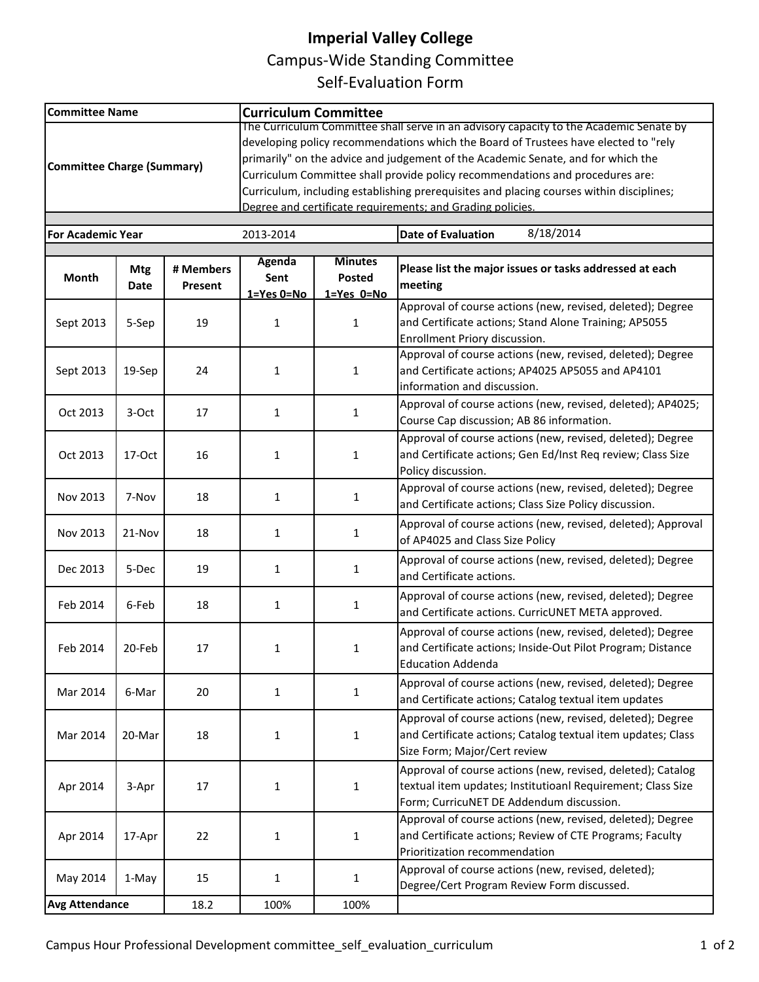## **Imperial Valley College**

Campus-Wide Standing Committee

Self-Evaluation Form

| <b>Committee Name</b>                                                           |                    |                      | <b>Curriculum Committee</b>                                                                                                                                                                                                                                                                                                                                                                                                                                                                                  |                                               |                                                                                                                                                                        |  |
|---------------------------------------------------------------------------------|--------------------|----------------------|--------------------------------------------------------------------------------------------------------------------------------------------------------------------------------------------------------------------------------------------------------------------------------------------------------------------------------------------------------------------------------------------------------------------------------------------------------------------------------------------------------------|-----------------------------------------------|------------------------------------------------------------------------------------------------------------------------------------------------------------------------|--|
| Committee Charge (Summary)                                                      |                    |                      | The Curriculum Committee shall serve in an advisory capacity to the Academic Senate by<br>developing policy recommendations which the Board of Trustees have elected to "rely<br>primarily" on the advice and judgement of the Academic Senate, and for which the<br>Curriculum Committee shall provide policy recommendations and procedures are:<br>Curriculum, including establishing prerequisites and placing courses within disciplines;<br>Degree and certificate requirements: and Grading policies. |                                               |                                                                                                                                                                        |  |
| 8/18/2014<br><b>Date of Evaluation</b><br><b>For Academic Year</b><br>2013-2014 |                    |                      |                                                                                                                                                                                                                                                                                                                                                                                                                                                                                                              |                                               |                                                                                                                                                                        |  |
| <b>Month</b>                                                                    | <b>Mtg</b><br>Date | # Members<br>Present | Agenda<br>Sent<br>$1 = Yes$ $0 = No$                                                                                                                                                                                                                                                                                                                                                                                                                                                                         | <b>Minutes</b><br><b>Posted</b><br>1=Yes 0=No | Please list the major issues or tasks addressed at each<br>meeting                                                                                                     |  |
| Sept 2013                                                                       | 5-Sep              | 19                   | $\mathbf{1}$                                                                                                                                                                                                                                                                                                                                                                                                                                                                                                 | $\mathbf{1}$                                  | Approval of course actions (new, revised, deleted); Degree<br>and Certificate actions; Stand Alone Training; AP5055<br>Enrollment Priory discussion.                   |  |
| Sept 2013                                                                       | 19-Sep             | 24                   | $\mathbf{1}$                                                                                                                                                                                                                                                                                                                                                                                                                                                                                                 | $\mathbf{1}$                                  | Approval of course actions (new, revised, deleted); Degree<br>and Certificate actions; AP4025 AP5055 and AP4101<br>information and discussion.                         |  |
| Oct 2013                                                                        | 3-Oct              | 17                   | $\mathbf{1}$                                                                                                                                                                                                                                                                                                                                                                                                                                                                                                 | 1                                             | Approval of course actions (new, revised, deleted); AP4025;<br>Course Cap discussion; AB 86 information.                                                               |  |
| Oct 2013                                                                        | 17-Oct             | 16                   | $\mathbf{1}$                                                                                                                                                                                                                                                                                                                                                                                                                                                                                                 | $\mathbf{1}$                                  | Approval of course actions (new, revised, deleted); Degree<br>and Certificate actions; Gen Ed/Inst Req review; Class Size<br>Policy discussion.                        |  |
| Nov 2013                                                                        | 7-Nov              | 18                   | $\mathbf{1}$                                                                                                                                                                                                                                                                                                                                                                                                                                                                                                 | $\mathbf{1}$                                  | Approval of course actions (new, revised, deleted); Degree<br>and Certificate actions; Class Size Policy discussion.                                                   |  |
| Nov 2013                                                                        | 21-Nov             | 18                   | $\mathbf{1}$                                                                                                                                                                                                                                                                                                                                                                                                                                                                                                 | 1                                             | Approval of course actions (new, revised, deleted); Approval<br>of AP4025 and Class Size Policy                                                                        |  |
| Dec 2013                                                                        | 5-Dec              | 19                   | $\mathbf{1}$                                                                                                                                                                                                                                                                                                                                                                                                                                                                                                 | 1                                             | Approval of course actions (new, revised, deleted); Degree<br>and Certificate actions.                                                                                 |  |
| Feb 2014                                                                        | 6-Feb              | 18                   | $\mathbf{1}$                                                                                                                                                                                                                                                                                                                                                                                                                                                                                                 | 1                                             | Approval of course actions (new, revised, deleted); Degree<br>and Certificate actions. CurricUNET META approved.                                                       |  |
| Feb 2014                                                                        | 20-Feb             | 17                   | 1                                                                                                                                                                                                                                                                                                                                                                                                                                                                                                            | 1                                             | Approval of course actions (new, revised, deleted); Degree<br>and Certificate actions; Inside-Out Pilot Program; Distance<br><b>Education Addenda</b>                  |  |
| Mar 2014                                                                        | 6-Mar              | 20                   | $\mathbf{1}$                                                                                                                                                                                                                                                                                                                                                                                                                                                                                                 | $\mathbf{1}$                                  | Approval of course actions (new, revised, deleted); Degree<br>and Certificate actions; Catalog textual item updates                                                    |  |
| Mar 2014                                                                        | 20-Mar             | 18                   | $\mathbf{1}$                                                                                                                                                                                                                                                                                                                                                                                                                                                                                                 | 1                                             | Approval of course actions (new, revised, deleted); Degree<br>and Certificate actions; Catalog textual item updates; Class<br>Size Form; Major/Cert review             |  |
| Apr 2014                                                                        | 3-Apr              | 17                   | $\mathbf{1}$                                                                                                                                                                                                                                                                                                                                                                                                                                                                                                 | $\mathbf 1$                                   | Approval of course actions (new, revised, deleted); Catalog<br>textual item updates; Institutioanl Requirement; Class Size<br>Form; CurricuNET DE Addendum discussion. |  |
| Apr 2014                                                                        | 17-Apr             | 22                   | 1                                                                                                                                                                                                                                                                                                                                                                                                                                                                                                            | 1                                             | Approval of course actions (new, revised, deleted); Degree<br>and Certificate actions; Review of CTE Programs; Faculty<br>Prioritization recommendation                |  |
| May 2014                                                                        | 1-May              | 15                   | $\mathbf{1}$                                                                                                                                                                                                                                                                                                                                                                                                                                                                                                 | 1                                             | Approval of course actions (new, revised, deleted);<br>Degree/Cert Program Review Form discussed.                                                                      |  |
| <b>Avg Attendance</b>                                                           |                    | 18.2                 | 100%                                                                                                                                                                                                                                                                                                                                                                                                                                                                                                         | 100%                                          |                                                                                                                                                                        |  |